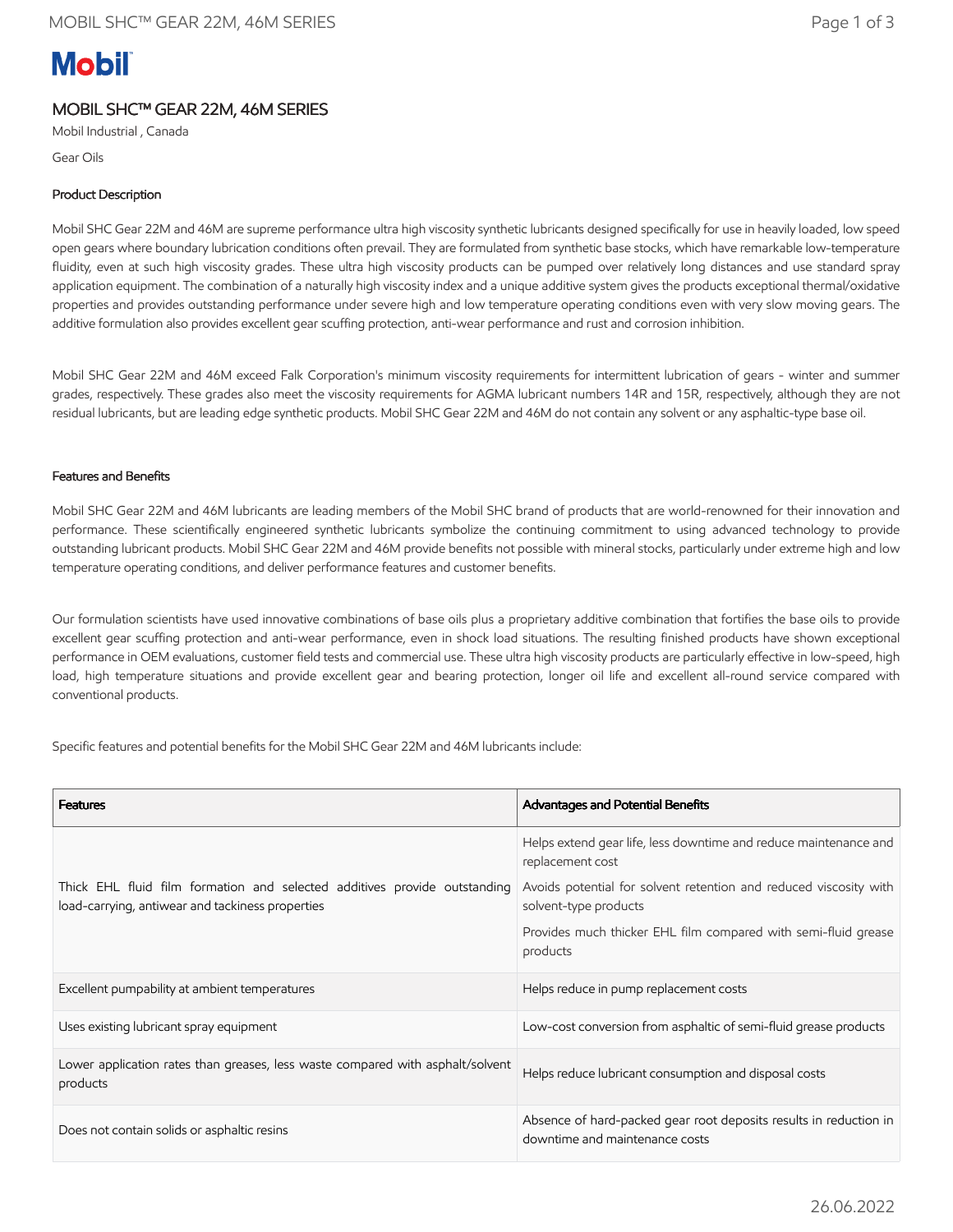# **Mobil**

# MOBIL SHC™ GEAR 22M, 46M SERIES

Mobil Industrial , Canada

Gear Oils

# Product Description

Mobil SHC Gear 22M and 46M are supreme performance ultra high viscosity synthetic lubricants designed specifically for use in heavily loaded, low speed open gears where boundary lubrication conditions often prevail. They are formulated from synthetic base stocks, which have remarkable low-temperature fluidity, even at such high viscosity grades. These ultra high viscosity products can be pumped over relatively long distances and use standard spray application equipment. The combination of a naturally high viscosity index and a unique additive system gives the products exceptional thermal/oxidative properties and provides outstanding performance under severe high and low temperature operating conditions even with very slow moving gears. The additive formulation also provides excellent gear scuffing protection, anti-wear performance and rust and corrosion inhibition.

Mobil SHC Gear 22M and 46M exceed Falk Corporation's minimum viscosity requirements for intermittent lubrication of gears - winter and summer grades, respectively. These grades also meet the viscosity requirements for AGMA lubricant numbers 14R and 15R, respectively, although they are not residual lubricants, but are leading edge synthetic products. Mobil SHC Gear 22M and 46M do not contain any solvent or any asphaltic-type base oil.

### Features and Benefits

Mobil SHC Gear 22M and 46M lubricants are leading members of the Mobil SHC brand of products that are world-renowned for their innovation and performance. These scientifically engineered synthetic lubricants symbolize the continuing commitment to using advanced technology to provide outstanding lubricant products. Mobil SHC Gear 22M and 46M provide benefits not possible with mineral stocks, particularly under extreme high and low temperature operating conditions, and deliver performance features and customer benefits.

Our formulation scientists have used innovative combinations of base oils plus a proprietary additive combination that fortifies the base oils to provide excellent gear scuffing protection and anti-wear performance, even in shock load situations. The resulting finished products have shown exceptional performance in OEM evaluations, customer field tests and commercial use. These ultra high viscosity products are particularly effective in low-speed, high load, high temperature situations and provide excellent gear and bearing protection, longer oil life and excellent all-round service compared with conventional products.

Specific features and potential benefits for the Mobil SHC Gear 22M and 46M lubricants include:

| <b>Features</b>                                                                                                               | Advantages and Potential Benefits                                                                   |
|-------------------------------------------------------------------------------------------------------------------------------|-----------------------------------------------------------------------------------------------------|
| Thick EHL fluid film formation and selected additives provide outstanding<br>load-carrying, antiwear and tackiness properties | Helps extend gear life, less downtime and reduce maintenance and<br>replacement cost                |
|                                                                                                                               | Avoids potential for solvent retention and reduced viscosity with<br>solvent-type products          |
|                                                                                                                               | Provides much thicker EHL film compared with semi-fluid grease<br>products                          |
| Excellent pumpability at ambient temperatures                                                                                 | Helps reduce in pump replacement costs                                                              |
| Uses existing lubricant spray equipment                                                                                       | Low-cost conversion from asphaltic of semi-fluid grease products                                    |
| Lower application rates than greases, less waste compared with asphalt/solvent<br>products                                    | Helps reduce lubricant consumption and disposal costs                                               |
| Does not contain solids or asphaltic resins                                                                                   | Absence of hard-packed gear root deposits results in reduction in<br>downtime and maintenance costs |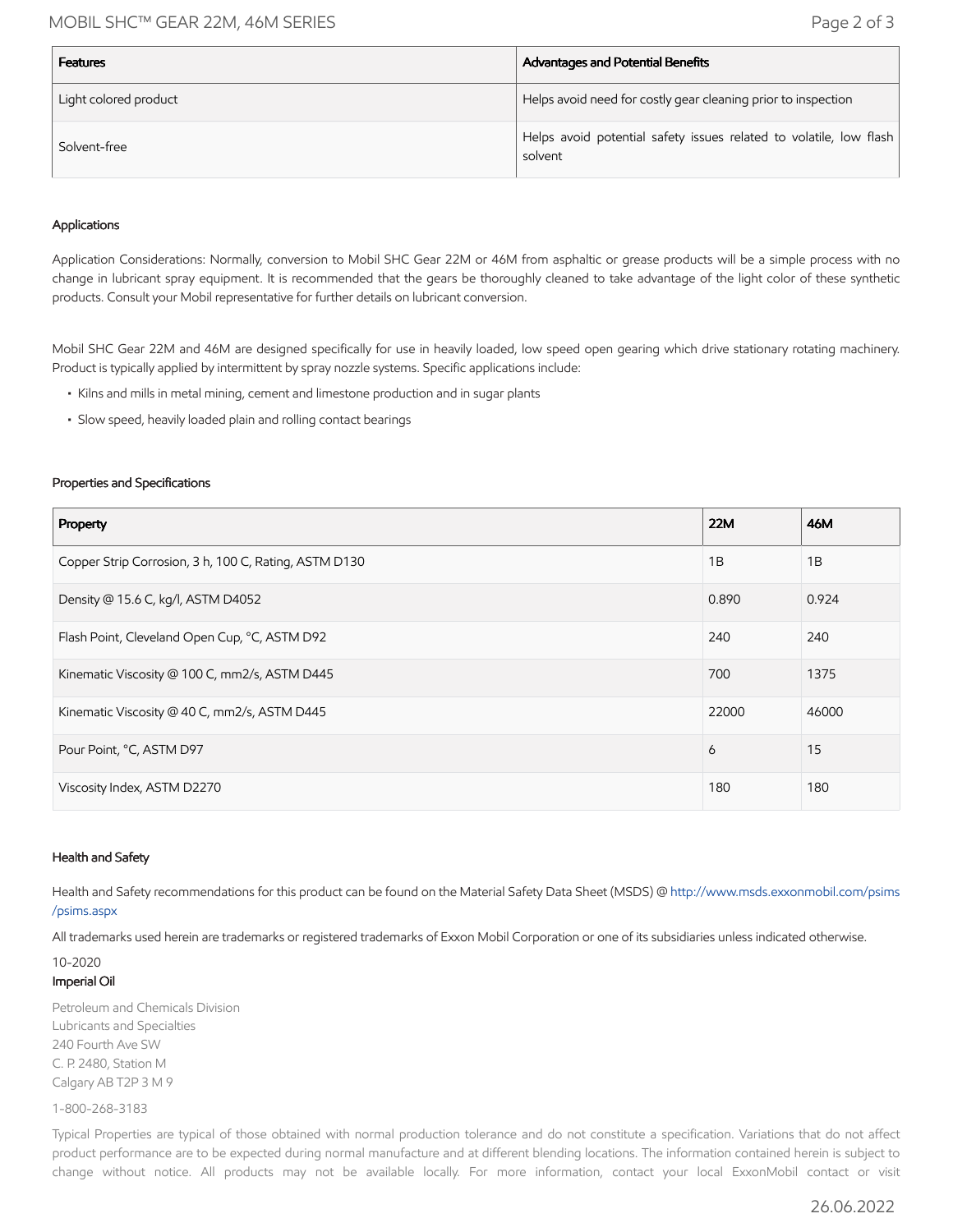## MOBIL SHC™ GEAR 22M, 46M SERIES Page 2 of 3

| <b>Features</b>       | Advantages and Potential Benefits                                             |
|-----------------------|-------------------------------------------------------------------------------|
| Light colored product | Helps avoid need for costly gear cleaning prior to inspection                 |
| Solvent-free          | Helps avoid potential safety issues related to volatile, low flash<br>solvent |

#### Applications

Application Considerations: Normally, conversion to Mobil SHC Gear 22M or 46M from asphaltic or grease products will be a simple process with no change in lubricant spray equipment. It is recommended that the gears be thoroughly cleaned to take advantage of the light color of these synthetic products. Consult your Mobil representative for further details on lubricant conversion.

Mobil SHC Gear 22M and 46M are designed specifically for use in heavily loaded, low speed open gearing which drive stationary rotating machinery. Product is typically applied by intermittent by spray nozzle systems. Specific applications include:

- Kilns and mills in metal mining, cement and limestone production and in sugar plants
- Slow speed, heavily loaded plain and rolling contact bearings

#### Properties and Specifications

| Property                                              | 22M   | 46M   |
|-------------------------------------------------------|-------|-------|
| Copper Strip Corrosion, 3 h, 100 C, Rating, ASTM D130 | 1B    | 1B    |
| Density @ 15.6 C, kg/l, ASTM D4052                    | 0.890 | 0.924 |
| Flash Point, Cleveland Open Cup, °C, ASTM D92         | 240   | 240   |
| Kinematic Viscosity @ 100 C, mm2/s, ASTM D445         | 700   | 1375  |
| Kinematic Viscosity @ 40 C, mm2/s, ASTM D445          | 22000 | 46000 |
| Pour Point, °C, ASTM D97                              | 6     | 15    |
| Viscosity Index, ASTM D2270                           | 180   | 180   |

#### Health and Safety

Health and Safety recommendations for this product can be found on the Material Safety Data Sheet (MSDS) @ [http://www.msds.exxonmobil.com/psims](http://www.msds.exxonmobil.com/psims/psims.aspx) /psims.aspx

All trademarks used herein are trademarks or registered trademarks of Exxon Mobil Corporation or one of its subsidiaries unless indicated otherwise.

## 10-2020 Imperial Oil

Petroleum and Chemicals Division Lubricants and Specialties 240 Fourth Ave SW C. P. 2480, Station M Calgary AB T2P 3 M 9

1-800-268-3183

Typical Properties are typical of those obtained with normal production tolerance and do not constitute a specification. Variations that do not affect product performance are to be expected during normal manufacture and at different blending locations. The information contained herein is subject to change without notice. All products may not be available locally. For more information, contact your local ExxonMobil contact or visit